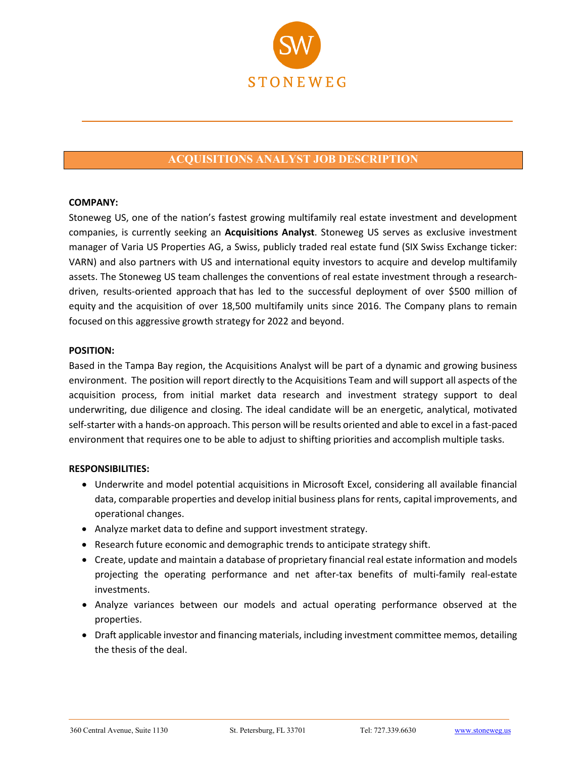

# **ACQUISITIONS ANALYST JOB DESCRIPTION**

### **COMPANY:**

Stoneweg US, one of the nation's fastest growing multifamily real estate investment and development companies, is currently seeking an **Acquisitions Analyst**. Stoneweg US serves as exclusive investment manager of Varia US Properties AG, a Swiss, publicly traded real estate fund (SIX Swiss Exchange ticker: VARN) and also partners with US and international equity investors to acquire and develop multifamily assets. The Stoneweg US team challenges the conventions of real estate investment through a researchdriven, results-oriented approach that has led to the successful deployment of over \$500 million of equity and the acquisition of over 18,500 multifamily units since 2016. The Company plans to remain focused on this aggressive growth strategy for 2022 and beyond.

### **POSITION:**

Based in the Tampa Bay region, the Acquisitions Analyst will be part of a dynamic and growing business environment. The position will report directly to the Acquisitions Team and will support all aspects of the acquisition process, from initial market data research and investment strategy support to deal underwriting, due diligence and closing. The ideal candidate will be an energetic, analytical, motivated self-starter with a hands-on approach. This person will be results oriented and able to excel in a fast-paced environment that requires one to be able to adjust to shifting priorities and accomplish multiple tasks.

#### **RESPONSIBILITIES:**

- Underwrite and model potential acquisitions in Microsoft Excel, considering all available financial data, comparable properties and develop initial business plans for rents, capital improvements, and operational changes.
- Analyze market data to define and support investment strategy.
- Research future economic and demographic trends to anticipate strategy shift.
- Create, update and maintain a database of proprietary financial real estate information and models projecting the operating performance and net after-tax benefits of multi-family real-estate investments.
- Analyze variances between our models and actual operating performance observed at the properties.
- Draft applicable investor and financing materials, including investment committee memos, detailing the thesis of the deal.